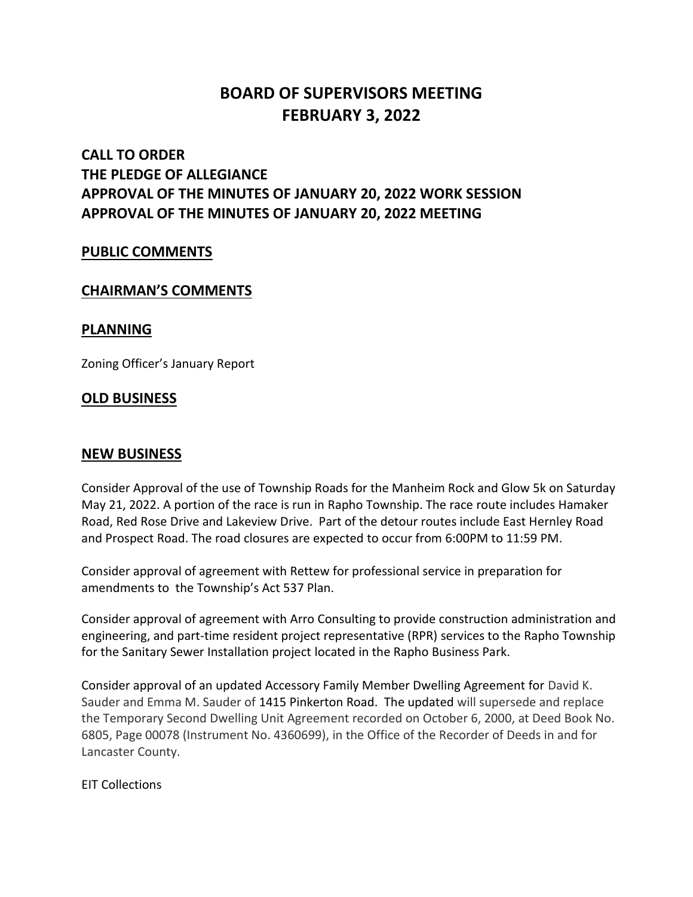# **BOARD OF SUPERVISORS MEETING FEBRUARY 3, 2022**

## **CALL TO ORDER THE PLEDGE OF ALLEGIANCE APPROVAL OF THE MINUTES OF JANUARY 20, 2022 WORK SESSION APPROVAL OF THE MINUTES OF JANUARY 20, 2022 MEETING**

#### **PUBLIC COMMENTS**

#### **CHAIRMAN'S COMMENTS**

#### **PLANNING**

Zoning Officer's January Report

### **OLD BUSINESS**

#### **NEW BUSINESS**

Consider Approval of the use of Township Roads for the Manheim Rock and Glow 5k on Saturday May 21, 2022. A portion of the race is run in Rapho Township. The race route includes Hamaker Road, Red Rose Drive and Lakeview Drive. Part of the detour routes include East Hernley Road and Prospect Road. The road closures are expected to occur from 6:00PM to 11:59 PM.

Consider approval of agreement with Rettew for professional service in preparation for amendments to the Township's Act 537 Plan.

Consider approval of agreement with Arro Consulting to provide construction administration and engineering, and part-time resident project representative (RPR) services to the Rapho Township for the Sanitary Sewer Installation project located in the Rapho Business Park.

Consider approval of an updated Accessory Family Member Dwelling Agreement for David K. Sauder and Emma M. Sauder of 1415 Pinkerton Road. The updated will supersede and replace the Temporary Second Dwelling Unit Agreement recorded on October 6, 2000, at Deed Book No. 6805, Page 00078 (Instrument No. 4360699), in the Office of the Recorder of Deeds in and for Lancaster County.

EIT Collections